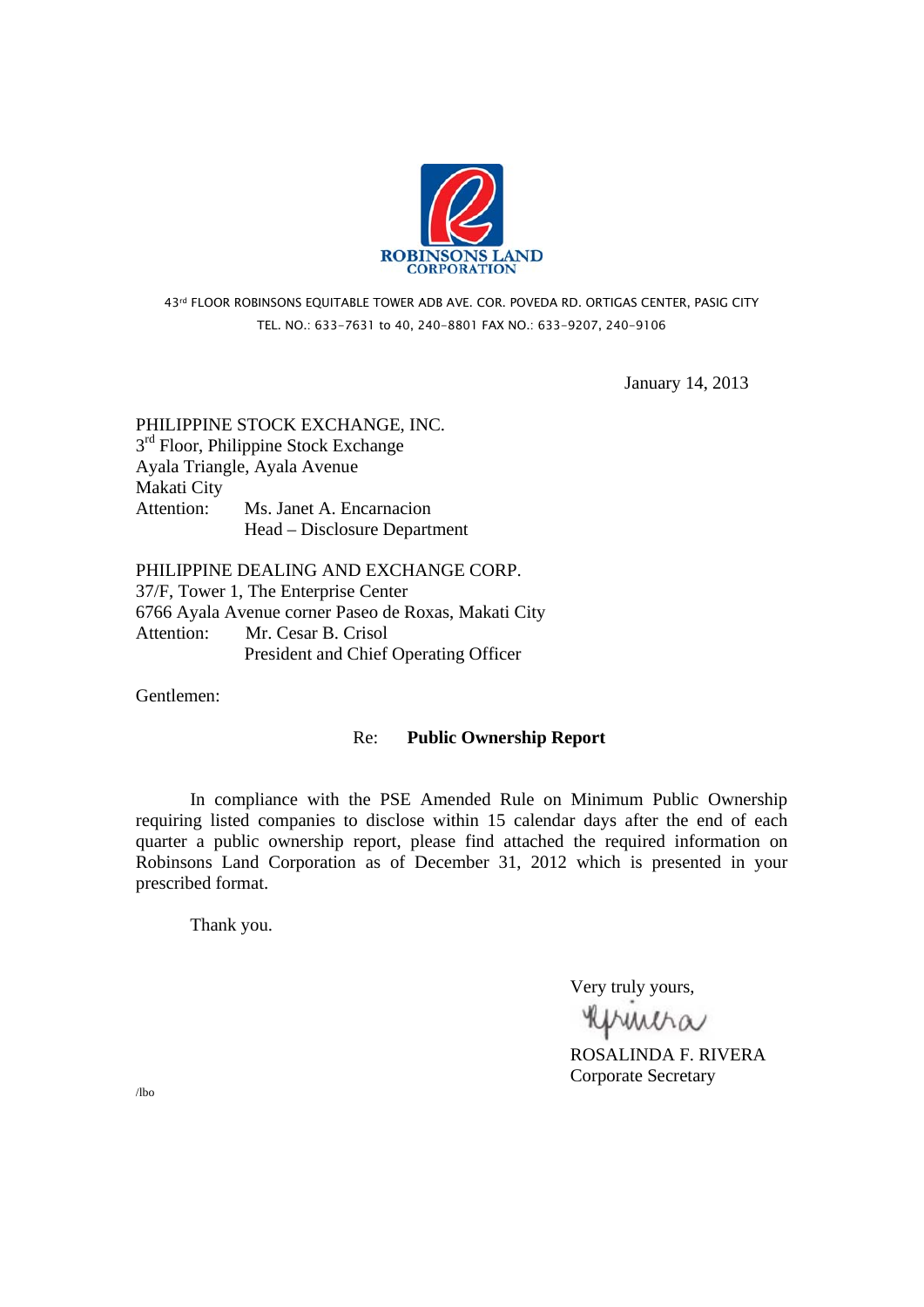

## 43rd FLOOR ROBINSONS EQUITABLE TOWER ADB AVE. COR. POVEDA RD. ORTIGAS CENTER, PASIG CITY TEL. NO.: 633-7631 to 40, 240-8801 FAX NO.: 633-9207, 240-9106

January 14, 2013

# PHILIPPINE STOCK EXCHANGE, INC.  $3<sup>rd</sup>$  Floor, Philippine Stock Exchange Ayala Triangle, Ayala Avenue Makati City Attention: Ms. Janet A. Encarnacion Head – Disclosure Department

PHILIPPINE DEALING AND EXCHANGE CORP. 37/F, Tower 1, The Enterprise Center 6766 Ayala Avenue corner Paseo de Roxas, Makati City Attention: Mr. Cesar B. Crisol President and Chief Operating Officer

Gentlemen:

## Re: **Public Ownership Report**

 In compliance with the PSE Amended Rule on Minimum Public Ownership requiring listed companies to disclose within 15 calendar days after the end of each quarter a public ownership report, please find attached the required information on Robinsons Land Corporation as of December 31, 2012 which is presented in your prescribed format.

Thank you.

Very truly yours,

**RUMMA**<br>ROSALINDA F. RIVERA

Corporate Secretary

/lbo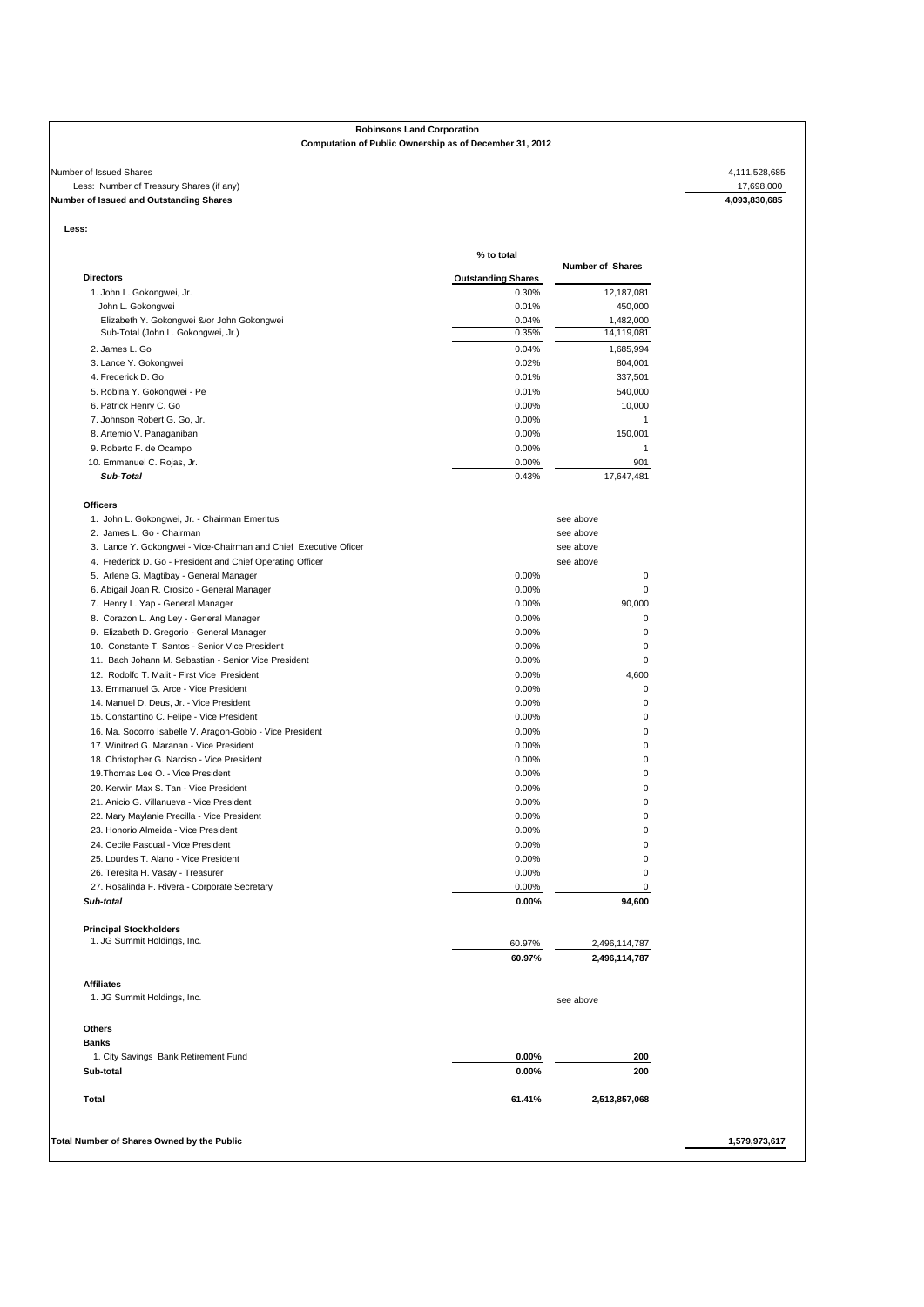#### **Robinsons Land Corporation**

#### **Computation of Public Ownership as of December 31, 2012**

#### Number of Issued Shares 4,111,528,685<br>
Less: Number of Treasury Shares (if any)<br>
Number of Issued and Outstanding Shares (if any)<br>
Number of Issued and Outstanding Shares 4,093,830,685 Less: Number of Treasury Shares (if any) **Number of Issued and Outstanding Shares**

**Less:** 

|                                                                                  | % to total                         |                         |
|----------------------------------------------------------------------------------|------------------------------------|-------------------------|
| <b>Directors</b>                                                                 |                                    | Number of Shares        |
| 1. John L. Gokongwei, Jr.                                                        | <b>Outstanding Shares</b><br>0.30% | 12,187,081              |
| John L. Gokongwei                                                                | 0.01%                              |                         |
|                                                                                  | 0.04%                              | 450,000                 |
| Elizabeth Y. Gokongwei &/or John Gokongwei<br>Sub-Total (John L. Gokongwei, Jr.) | 0.35%                              | 1,482,000<br>14,119,081 |
|                                                                                  |                                    | 1,685,994               |
| 2. James L. Go                                                                   | 0.04%                              |                         |
| 3. Lance Y. Gokongwei                                                            | 0.02%                              | 804,001                 |
| 4. Frederick D. Go                                                               | 0.01%                              | 337,501                 |
| 5. Robina Y. Gokongwei - Pe                                                      | 0.01%                              | 540,000                 |
| 6. Patrick Henry C. Go                                                           | 0.00%                              | 10,000                  |
| 7. Johnson Robert G. Go, Jr.                                                     | 0.00%                              | 1                       |
| 8. Artemio V. Panaganiban                                                        | 0.00%                              | 150,001                 |
| 9. Roberto F. de Ocampo                                                          | 0.00%                              | 1                       |
| 10. Emmanuel C. Rojas, Jr.                                                       | 0.00%                              | 901                     |
| Sub-Total                                                                        | 0.43%                              | 17,647,481              |
|                                                                                  |                                    |                         |
| <b>Officers</b>                                                                  |                                    |                         |
| 1. John L. Gokongwei, Jr. - Chairman Emeritus                                    |                                    | see above               |
| 2. James L. Go - Chairman                                                        |                                    | see above               |
| 3. Lance Y. Gokongwei - Vice-Chairman and Chief Executive Oficer                 |                                    | see above               |
| 4. Frederick D. Go - President and Chief Operating Officer                       |                                    | see above               |
| 5. Arlene G. Magtibay - General Manager                                          | 0.00%                              | 0                       |
| 6. Abigail Joan R. Crosico - General Manager                                     | 0.00%                              | 0                       |
| 7. Henry L. Yap - General Manager                                                | 0.00%                              | 90,000                  |
| 8. Corazon L. Ang Ley - General Manager                                          | 0.00%                              | 0                       |
| 9. Elizabeth D. Gregorio - General Manager                                       | 0.00%                              | 0                       |
| 10. Constante T. Santos - Senior Vice President                                  | 0.00%                              | 0                       |
| 11. Bach Johann M. Sebastian - Senior Vice President                             | 0.00%                              | 0                       |
| 12. Rodolfo T. Malit - First Vice President                                      | 0.00%                              | 4,600                   |
| 13. Emmanuel G. Arce - Vice President                                            | 0.00%                              | 0                       |
| 14. Manuel D. Deus, Jr. - Vice President                                         | 0.00%                              | 0                       |
| 15. Constantino C. Felipe - Vice President                                       | 0.00%                              | 0                       |
| 16. Ma. Socorro Isabelle V. Aragon-Gobio - Vice President                        | 0.00%                              | 0                       |
| 17. Winifred G. Maranan - Vice President                                         | 0.00%                              | 0                       |
|                                                                                  |                                    | 0                       |
| 18. Christopher G. Narciso - Vice President                                      | 0.00%                              |                         |
| 19. Thomas Lee O. - Vice President                                               | 0.00%                              | 0                       |
| 20. Kerwin Max S. Tan - Vice President                                           | 0.00%                              | 0                       |
| 21. Anicio G. Villanueva - Vice President                                        | 0.00%                              | 0                       |
| 22. Mary Maylanie Precilla - Vice President                                      | 0.00%                              | 0                       |
| 23. Honorio Almeida - Vice President                                             | 0.00%                              | 0                       |
| 24. Cecile Pascual - Vice President                                              | 0.00%                              | 0                       |
| 25. Lourdes T. Alano - Vice President                                            | 0.00%                              | 0                       |
| 26. Teresita H. Vasay - Treasurer                                                | 0.00%                              | 0                       |
| 27. Rosalinda F. Rivera - Corporate Secretary                                    | 0.00%                              | 0                       |
| Sub-total                                                                        | 0.00%                              | 94,600                  |
|                                                                                  |                                    |                         |
| <b>Principal Stockholders</b><br>1. JG Summit Holdings, Inc.                     |                                    |                         |
|                                                                                  | 60.97%<br>60.97%                   | 2,496,114,787           |
|                                                                                  |                                    | 2,496,114,787           |
| <b>Affiliates</b>                                                                |                                    |                         |
| 1. JG Summit Holdings, Inc.                                                      |                                    | see above               |
|                                                                                  |                                    |                         |
| Others                                                                           |                                    |                         |
| <b>Banks</b>                                                                     |                                    |                         |
| 1. City Savings Bank Retirement Fund                                             | $0.00\%$                           | 200                     |
| Sub-total                                                                        | 0.00%                              | 200                     |
| <b>Total</b>                                                                     | 61.41%                             | 2,513,857,068           |
|                                                                                  |                                    |                         |
|                                                                                  |                                    |                         |
| Total Number of Shares Owned by the Public                                       |                                    |                         |
|                                                                                  |                                    |                         |